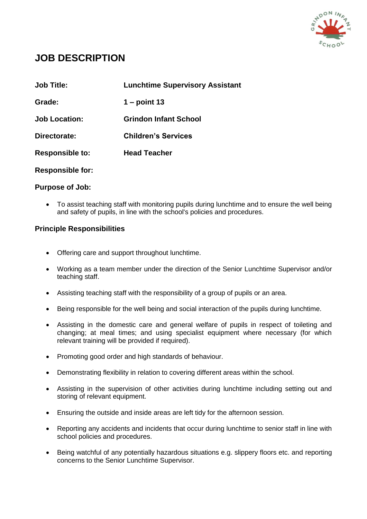

# **JOB DESCRIPTION**

| <b>Job Title:</b>       | <b>Lunchtime Supervisory Assistant</b> |
|-------------------------|----------------------------------------|
| Grade:                  | $1 - point 13$                         |
| <b>Job Location:</b>    | <b>Grindon Infant School</b>           |
| Directorate:            | <b>Children's Services</b>             |
| <b>Responsible to:</b>  | <b>Head Teacher</b>                    |
| <b>Responsible for:</b> |                                        |

## **Purpose of Job:**

 To assist teaching staff with monitoring pupils during lunchtime and to ensure the well being and safety of pupils, in line with the school's policies and procedures.

## **Principle Responsibilities**

- Offering care and support throughout lunchtime.
- Working as a team member under the direction of the Senior Lunchtime Supervisor and/or teaching staff.
- Assisting teaching staff with the responsibility of a group of pupils or an area.
- Being responsible for the well being and social interaction of the pupils during lunchtime.
- Assisting in the domestic care and general welfare of pupils in respect of toileting and changing; at meal times; and using specialist equipment where necessary (for which relevant training will be provided if required).
- Promoting good order and high standards of behaviour.
- Demonstrating flexibility in relation to covering different areas within the school.
- Assisting in the supervision of other activities during lunchtime including setting out and storing of relevant equipment.
- Ensuring the outside and inside areas are left tidy for the afternoon session.
- Reporting any accidents and incidents that occur during lunchtime to senior staff in line with school policies and procedures.
- Being watchful of any potentially hazardous situations e.g. slippery floors etc. and reporting concerns to the Senior Lunchtime Supervisor.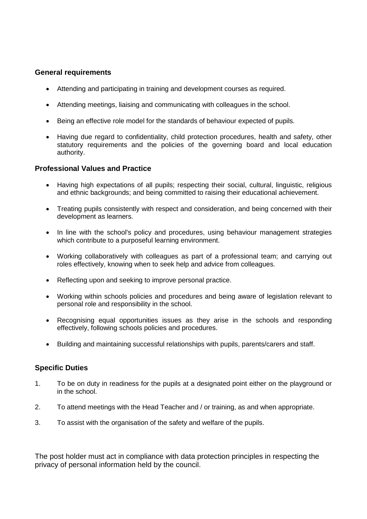## **General requirements**

- Attending and participating in training and development courses as required.
- Attending meetings, liaising and communicating with colleagues in the school.
- Being an effective role model for the standards of behaviour expected of pupils.
- Having due regard to confidentiality, child protection procedures, health and safety, other statutory requirements and the policies of the governing board and local education authority.

### **Professional Values and Practice**

- Having high expectations of all pupils; respecting their social, cultural, linguistic, religious and ethnic backgrounds; and being committed to raising their educational achievement.
- Treating pupils consistently with respect and consideration, and being concerned with their development as learners.
- In line with the school's policy and procedures, using behaviour management strategies which contribute to a purposeful learning environment.
- Working collaboratively with colleagues as part of a professional team; and carrying out roles effectively, knowing when to seek help and advice from colleagues.
- Reflecting upon and seeking to improve personal practice.
- Working within schools policies and procedures and being aware of legislation relevant to personal role and responsibility in the school.
- Recognising equal opportunities issues as they arise in the schools and responding effectively, following schools policies and procedures.
- Building and maintaining successful relationships with pupils, parents/carers and staff.

## **Specific Duties**

- 1. To be on duty in readiness for the pupils at a designated point either on the playground or in the school.
- 2. To attend meetings with the Head Teacher and / or training, as and when appropriate.
- 3. To assist with the organisation of the safety and welfare of the pupils.

The post holder must act in compliance with data protection principles in respecting the privacy of personal information held by the council.